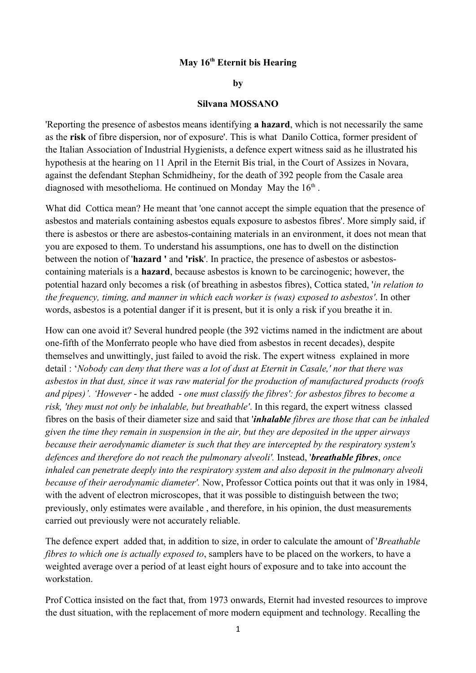## **May 16th Eternit bis Hearing**

## **by**

## **Silvana MOSSANO**

'Reporting the presence of asbestos means identifying **a hazard**, which is not necessarily the same as the **risk** of fibre dispersion, nor of exposure'. This is what Danilo Cottica, former president of the Italian Association of Industrial Hygienists, a defence expert witness said as he illustrated his hypothesis at the hearing on 11 April in the Eternit Bis trial, in the Court of Assizes in Novara, against the defendant Stephan Schmidheiny, for the death of 392 people from the Casale area diagnosed with mesothelioma. He continued on Monday May the  $16<sup>th</sup>$ .

What did Cottica mean? He meant that 'one cannot accept the simple equation that the presence of asbestos and materials containing asbestos equals exposure to asbestos fibres'. More simply said, if there is asbestos or there are asbestos-containing materials in an environment, it does not mean that you are exposed to them. To understand his assumptions, one has to dwell on the distinction between the notion of '**hazard '** and **'risk**'. In practice, the presence of asbestos or asbestoscontaining materials is a **hazard**, because asbestos is known to be carcinogenic; however, the potential hazard only becomes a risk (of breathing in asbestos fibres), Cottica stated, '*in relation to the frequency, timing, and manner in which each worker is (was) exposed to asbestos'*. In other words, asbestos is a potential danger if it is present, but it is only a risk if you breathe it in.

How can one avoid it? Several hundred people (the 392 victims named in the indictment are about one-fifth of the Monferrato people who have died from asbestos in recent decades), despite themselves and unwittingly, just failed to avoid the risk. The expert witness explained in more detail : '*Nobody can deny that there was a lot of dust at Eternit in Casale,' nor that there was asbestos in that dust, since it was raw material for the production of manufactured products (roofs and pipes)'. 'However* - he added - *one must classify the fibres': for asbestos fibres to become a risk, 'they must not only be inhalable, but breathable'*. In this regard, the expert witness classed fibres on the basis of their diameter size and said that '*inhalable fibres are those that can be inhaled given the time they remain in suspension in the air, but they are deposited in the upper airways because their aerodynamic diameter is such that they are intercepted by the respiratory system's defences and therefore do not reach the pulmonary alveoli'.* Instead, '*breathable fibres*, *once inhaled can penetrate deeply into the respiratory system and also deposit in the pulmonary alveoli because of their aerodynamic diameter'.* Now, Professor Cottica points out that it was only in 1984, with the advent of electron microscopes, that it was possible to distinguish between the two; previously, only estimates were available , and therefore, in his opinion, the dust measurements carried out previously were not accurately reliable.

The defence expert added that, in addition to size, in order to calculate the amount of '*Breathable fibres to which one is actually exposed to*, samplers have to be placed on the workers, to have a weighted average over a period of at least eight hours of exposure and to take into account the workstation.

Prof Cottica insisted on the fact that, from 1973 onwards, Eternit had invested resources to improve the dust situation, with the replacement of more modern equipment and technology. Recalling the

1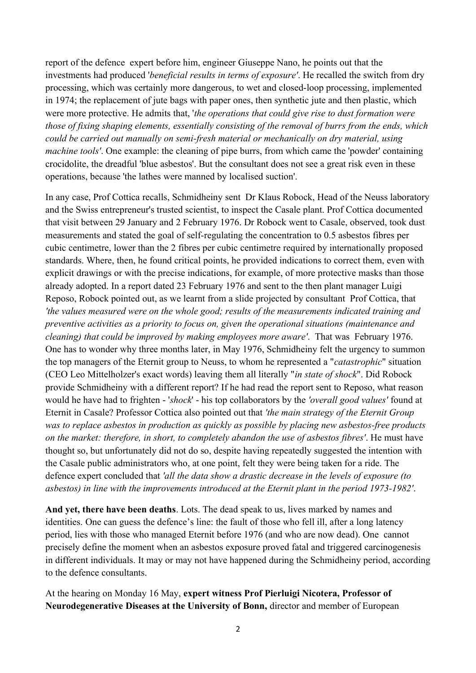report of the defence expert before him, engineer Giuseppe Nano, he points out that the investments had produced '*beneficial results in terms of exposure'*. He recalled the switch from dry processing, which was certainly more dangerous, to wet and closed-loop processing, implemented in 1974; the replacement of jute bags with paper ones, then synthetic jute and then plastic, which were more protective. He admits that, '*the operations that could give rise to dust formation were those of fixing shaping elements, essentially consisting of the removal of burrs from the ends, which could be carried out manually on semi-fresh material or mechanically on dry material, using machine tools'*. One example: the cleaning of pipe burrs, from which came the 'powder' containing crocidolite, the dreadful 'blue asbestos'. But the consultant does not see a great risk even in these operations, because 'the lathes were manned by localised suction'.

In any case, Prof Cottica recalls, Schmidheiny sent Dr Klaus Robock, Head of the Neuss laboratory and the Swiss entrepreneur's trusted scientist, to inspect the Casale plant. Prof Cottica documented that visit between 29 January and 2 February 1976. Dr Robock went to Casale, observed, took dust measurements and stated the goal of self-regulating the concentration to 0.5 asbestos fibres per cubic centimetre, lower than the 2 fibres per cubic centimetre required by internationally proposed standards. Where, then, he found critical points, he provided indications to correct them, even with explicit drawings or with the precise indications, for example, of more protective masks than those already adopted. In a report dated 23 February 1976 and sent to the then plant manager Luigi Reposo, Robock pointed out, as we learnt from a slide projected by consultant Prof Cottica, that *'the values measured were on the whole good; results of the measurements indicated training and preventive activities as a priority to focus on, given the operational situations (maintenance and cleaning) that could be improved by making employees more aware'*. That was February 1976. One has to wonder why three months later, in May 1976, Schmidheiny felt the urgency to summon the top managers of the Eternit group to Neuss, to whom he represented a "*catastrophic*" situation (CEO Leo Mittelholzer's exact words) leaving them all literally "*in state of shock*". Did Robock provide Schmidheiny with a different report? If he had read the report sent to Reposo, what reason would he have had to frighten - '*shock*' - his top collaborators by the *'overall good values'* found at Eternit in Casale? Professor Cottica also pointed out that *'the main strategy of the Eternit Group was to replace asbestos in production as quickly as possible by placing new asbestos-free products on the market: therefore, in short, to completely abandon the use of asbestos fibres'*. He must have thought so, but unfortunately did not do so, despite having repeatedly suggested the intention with the Casale public administrators who, at one point, felt they were being taken for a ride. The defence expert concluded that *'all the data show a drastic decrease in the levels of exposure (to asbestos) in line with the improvements introduced at the Eternit plant in the period 1973-1982'*.

**And yet, there have been deaths**. Lots. The dead speak to us, lives marked by names and identities. One can guess the defence's line: the fault of those who fell ill, after a long latency period, lies with those who managed Eternit before 1976 (and who are now dead). One cannot precisely define the moment when an asbestos exposure proved fatal and triggered carcinogenesis in different individuals. It may or may not have happened during the Schmidheiny period, according to the defence consultants.

At the hearing on Monday 16 May, **expert witness Prof Pierluigi Nicotera, Professor of Neurodegenerative Diseases at the University of Bonn,** director and member of European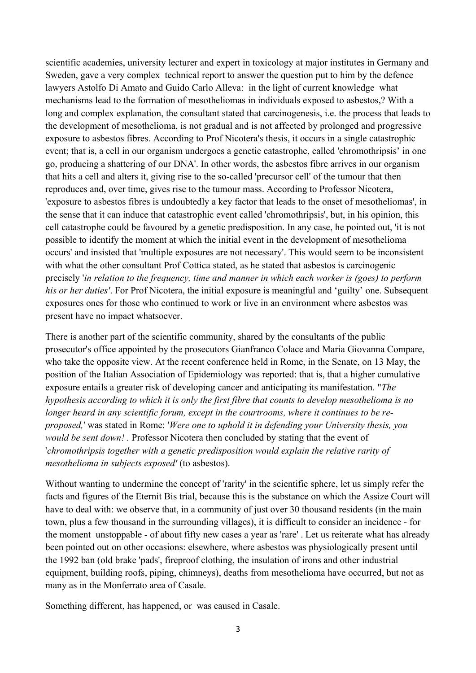scientific academies, university lecturer and expert in toxicology at major institutes in Germany and Sweden, gave a very complex technical report to answer the question put to him by the defence lawyers Astolfo Di Amato and Guido Carlo Alleva: in the light of current knowledge what mechanisms lead to the formation of mesotheliomas in individuals exposed to asbestos,? With a long and complex explanation, the consultant stated that carcinogenesis, i.e. the process that leads to the development of mesothelioma, is not gradual and is not affected by prolonged and progressive exposure to asbestos fibres. According to Prof Nicotera's thesis, it occurs in a single catastrophic event; that is, a cell in our organism undergoes a genetic catastrophe, called 'chromothripsis' in one go, producing a shattering of our DNA'. In other words, the asbestos fibre arrives in our organism that hits a cell and alters it, giving rise to the so-called 'precursor cell' of the tumour that then reproduces and, over time, gives rise to the tumour mass. According to Professor Nicotera, 'exposure to asbestos fibres is undoubtedly a key factor that leads to the onset of mesotheliomas', in the sense that it can induce that catastrophic event called 'chromothripsis', but, in his opinion, this cell catastrophe could be favoured by a genetic predisposition. In any case, he pointed out, 'it is not possible to identify the moment at which the initial event in the development of mesothelioma occurs' and insisted that 'multiple exposures are not necessary'. This would seem to be inconsistent with what the other consultant Prof Cottica stated, as he stated that asbestos is carcinogenic precisely '*in relation to the frequency, time and manner in which each worker is (goes) to perform his or her duties'*. For Prof Nicotera, the initial exposure is meaningful and 'guilty' one. Subsequent exposures ones for those who continued to work or live in an environment where asbestos was present have no impact whatsoever.

There is another part of the scientific community, shared by the consultants of the public prosecutor's office appointed by the prosecutors Gianfranco Colace and Maria Giovanna Compare, who take the opposite view. At the recent conference held in Rome, in the Senate, on 13 May, the position of the Italian Association of Epidemiology was reported: that is, that a higher cumulative exposure entails a greater risk of developing cancer and anticipating its manifestation. "*The hypothesis according to which it is only the first fibre that counts to develop mesothelioma is no longer heard in any scientific forum, except in the courtrooms, where it continues to be reproposed,*' was stated in Rome: '*Were one to uphold it in defending your University thesis, you would be sent down! .* Professor Nicotera then concluded by stating that the event of '*chromothripsis together with a genetic predisposition would explain the relative rarity of mesothelioma in subjects exposed'* (to asbestos).

Without wanting to undermine the concept of 'rarity' in the scientific sphere, let us simply refer the facts and figures of the Eternit Bis trial, because this is the substance on which the Assize Court will have to deal with: we observe that, in a community of just over 30 thousand residents (in the main town, plus a few thousand in the surrounding villages), it is difficult to consider an incidence - for the moment unstoppable - of about fifty new cases a year as 'rare' . Let us reiterate what has already been pointed out on other occasions: elsewhere, where asbestos was physiologically present until the 1992 ban (old brake 'pads', fireproof clothing, the insulation of irons and other industrial equipment, building roofs, piping, chimneys), deaths from mesothelioma have occurred, but not as many as in the Monferrato area of Casale.

Something different, has happened, or was caused in Casale.